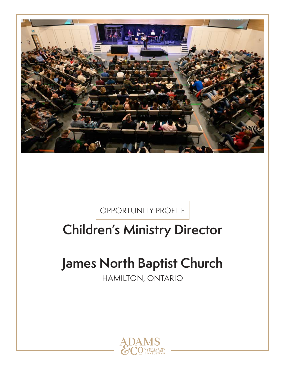

OPPORTUNITY PROFILE

## **Children's Ministry Director**

# **James North Baptist Church**

HAMILTON, ONTARIO

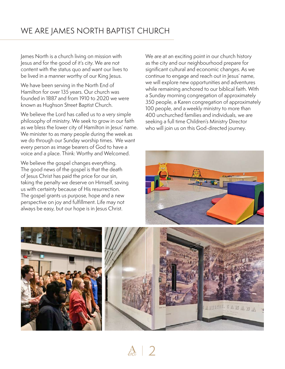James North is a church living on mission with Jesus and for the good of it's city. We are not content with the status quo and want our lives to be lived in a manner worthy of our King Jesus.

We have been serving in the North End of Hamilton for over 135 years. Our church was founded in 1887 and from 1910 to 2020 we were known as Hughson Street Baptist Church.

We believe the Lord has called us to a very simple philosophy of ministry. We seek to grow in our faith as we bless the lower city of Hamilton in Jesus' name. We minister to as many people during the week as we do through our Sunday worship times. We want every person as image bearers of God to have a voice and a place. Think: Worthy and Welcomed.

We believe the gospel changes everything. The good news of the gospel is that the death of Jesus Christ has paid the price for our sin, taking the penalty we deserve on Himself, saving us with certainty because of His resurrection. The gospel grants us purpose, hope and a new perspective on joy and fulfillment. Life may not always be easy, but our hope is in Jesus Christ.

We are at an exciting point in our church history as the city and our neighbourhood prepare for significant cultural and economic changes. As we continue to engage and reach out in Jesus' name, we will explore new opportunities and adventures while remaining anchored to our biblical faith. With a Sunday morning congregation of approximately 350 people, a Karen congregation of approximately 100 people, and a weekly ministry to more than 400 unchurched families and individuals, we are seeking a full time Children's Ministry Director who will join us on this God-directed journey.



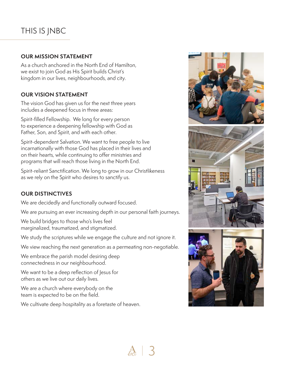## THIS IS JNBC

#### **OUR MISSION STATEMENT**

As a church anchored in the North End of Hamilton, we exist to join God as His Spirit builds Christ's kingdom in our lives, neighbourhoods, and city.

#### **OUR VISION STATEMENT**

The vision God has given us for the next three years includes a deepened focus in three areas:

Spirit-filled Fellowship. We long for every person to experience a deepening fellowship with God as Father, Son, and Spirit, and with each other.

Spirit-dependent Salvation. We want to free people to live incarnationally with those God has placed in their lives and on their hearts, while continuing to offer ministries and programs that will reach those living in the North End.

Spirit-reliant Sanctification. We long to grow in our Christlikeness as we rely on the Spirit who desires to sanctify us.

#### **OUR DISTINCTIVES**

We are decidedly and functionally outward focused.

We are pursuing an ever increasing depth in our personal faith journeys.

We build bridges to those who's lives feel marginalized, traumatized, and stigmatized.

We study the scriptures while we engage the culture and not ignore it.

We view reaching the next generation as a permeating non-negotiable.

We embrace the parish model desiring deep connectedness in our neighbourhood.

We want to be a deep reflection of Jesus for others as we live out our daily lives.

We are a church where everybody on the team is expected to be on the field.

We cultivate deep hospitality as a foretaste of heaven.





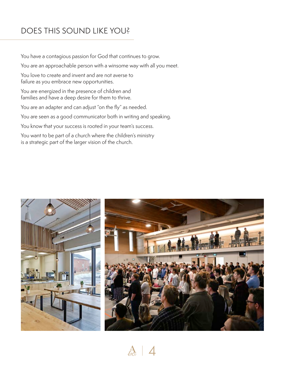## DOES THIS SOUND LIKE YOU?

You have a contagious passion for God that continues to grow.

You are an approachable person with a winsome way with all you meet.

You love to create and invent and are not averse to failure as you embrace new opportunities.

You are energized in the presence of children and families and have a deep desire for them to thrive.

You are an adapter and can adjust "on the fly" as needed.

You are seen as a good communicator both in writing and speaking.

You know that your success is rooted in your team's success.

You want to be part of a church where the children's ministry is a strategic part of the larger vision of the church.



 $\frac{A}{60}$  | 4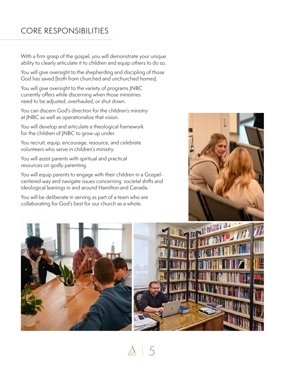## CORE RESPONSIBILITIES

With a firm grasp of the gospel, you will demonstrate your unique ability to clearly articulate it to children and equip others to do so.

You will give oversight to the shepherding and discipling of those God has saved (both from churched and unchurched homes).

You will give oversight to the variety of programs JNBC currently offers while discerning when those ministries need to be adjusted, overhauled, or shut down.

You can discern God's direction for the children's ministry at JNBC as well as operationalize that vision.

You will develop and articulate a theological framework for the children of JNBC to grow up under.

You recruit, equip, encourage, resource, and celebrate volunteers who serve in children's ministry.

You will assist parents with spiritual and practical resources on godly parenting.

You will equip parents to engage with their children in a Gospelcentered way and navigate issues concerning societal shifts and ideological leanings in and around Hamilton and Canada.

You will be deliberate in serving as part of a team who are collaborating for God's best for our church as a whole.



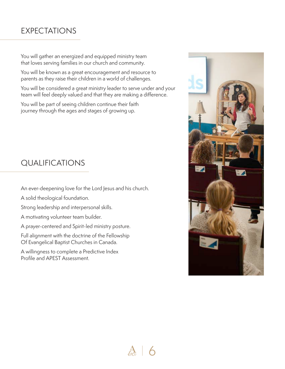### EXPECTATIONS

You will gather an energized and equipped ministry team that loves serving families in our church and community.

You will be known as a great encouragement and resource to parents as they raise their children in a world of challenges.

You will be considered a great ministry leader to serve under and your team will feel deeply valued and that they are making a difference.

You will be part of seeing children continue their faith journey through the ages and stages of growing up.

### QUALIFICATIONS

An ever-deepening love for the Lord Jesus and his church.

A solid theological foundation.

Strong leadership and interpersonal skills.

A motivating volunteer team builder.

A prayer-centered and Spirit-led ministry posture.

Full alignment with the doctrine of the Fellowship Of Evangelical Baptist Churches in Canada.

A willingness to complete a Predictive Index Profile and APEST Assessment.